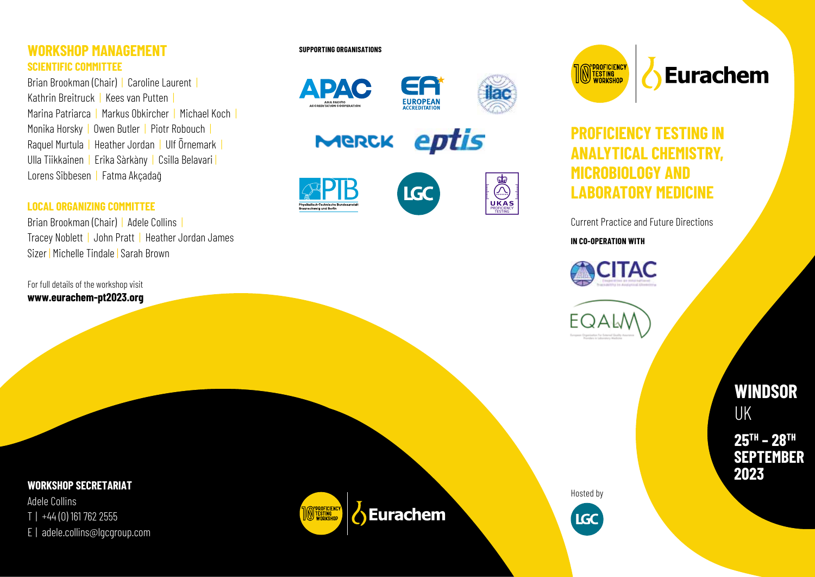#### **WORKSHOP MANAGEMENT SCIENTIFIC COMMITTEE**

Brian Brookman (Chair) | Caroline Laurent Kathrin Breitruck | Kees van Putten | Marina Patriarca | Markus Obkircher | Michael Koch | Monika Horsky | Owen Butler | Piotr Robouch | Raquel Murtula | Heather Jordan | Ulf Örnemark | Ulla Tiikkainen | Erika Sàrkàny | Csilla Belavari | Lorens Sibbesen| Fatma Akçadağ

#### **LOCAL ORGANIZING COMMITTEE**

Brian Brookman (Chair) | Adele Collins | Tracey Noblett | John Pratt | Heather Jordan James Sizer | Michelle Tindale | Sarah Brown

For full details of the workshop visit **www.eurachem-pt2023.org**

#### **SUPPORTING ORGANISATIONS**





E 2 **EUROPEAN** 

**IGC** 

eptis MERCK





**M** PROFICIENCY<br>In Testing<br>Workshop

Eurachem

# **PROFICIENCY TESTING IN ANALYTICAL CHEMISTRY, MICROBIOLOGY AND LABORATORY MEDICINE**

Current Practice and Future Directions

**IN CO-OPERATION WITH**

TAC

**WINDSOR**  UK

**25 TH – 28 TH SEPTEMBER 2023**

**WORKSHOP SECRETARIAT**

Adele Collins T | +44 (0) 161 762 2555 E | adele.collins@lgcgroup.com



Hosted by